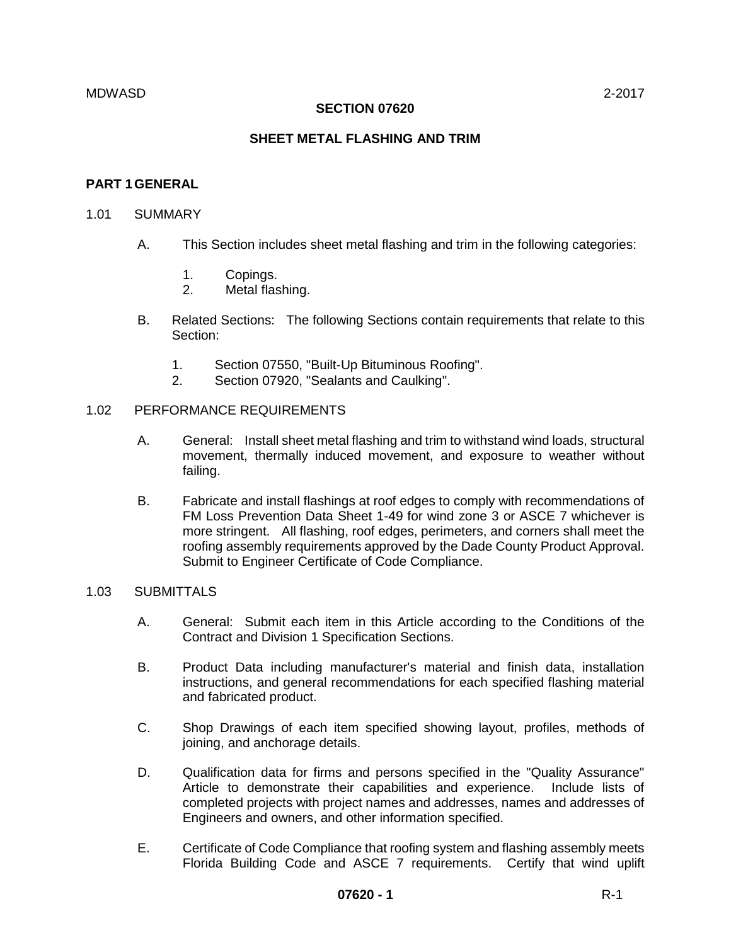#### **SECTION 07620**

## **SHEET METAL FLASHING AND TRIM**

#### **PART 1GENERAL**

#### 1.01 SUMMARY

- A. This Section includes sheet metal flashing and trim in the following categories:
	- 1. Copings.
	- 2. Metal flashing.
- B. Related Sections: The following Sections contain requirements that relate to this Section:
	- 1. Section 07550, "Built-Up Bituminous Roofing".
	- 2. Section 07920, "Sealants and Caulking".

#### 1.02 PERFORMANCE REQUIREMENTS

- A. General: Install sheet metal flashing and trim to withstand wind loads, structural movement, thermally induced movement, and exposure to weather without failing.
- B. Fabricate and install flashings at roof edges to comply with recommendations of FM Loss Prevention Data Sheet 1-49 for wind zone 3 or ASCE 7 whichever is more stringent. All flashing, roof edges, perimeters, and corners shall meet the roofing assembly requirements approved by the Dade County Product Approval. Submit to Engineer Certificate of Code Compliance.

## 1.03 SUBMITTALS

- A. General: Submit each item in this Article according to the Conditions of the Contract and Division 1 Specification Sections.
- B. Product Data including manufacturer's material and finish data, installation instructions, and general recommendations for each specified flashing material and fabricated product.
- C. Shop Drawings of each item specified showing layout, profiles, methods of joining, and anchorage details.
- D. Qualification data for firms and persons specified in the "Quality Assurance" Article to demonstrate their capabilities and experience. Include lists of completed projects with project names and addresses, names and addresses of Engineers and owners, and other information specified.
- E. Certificate of Code Compliance that roofing system and flashing assembly meets Florida Building Code and ASCE 7 requirements. Certify that wind uplift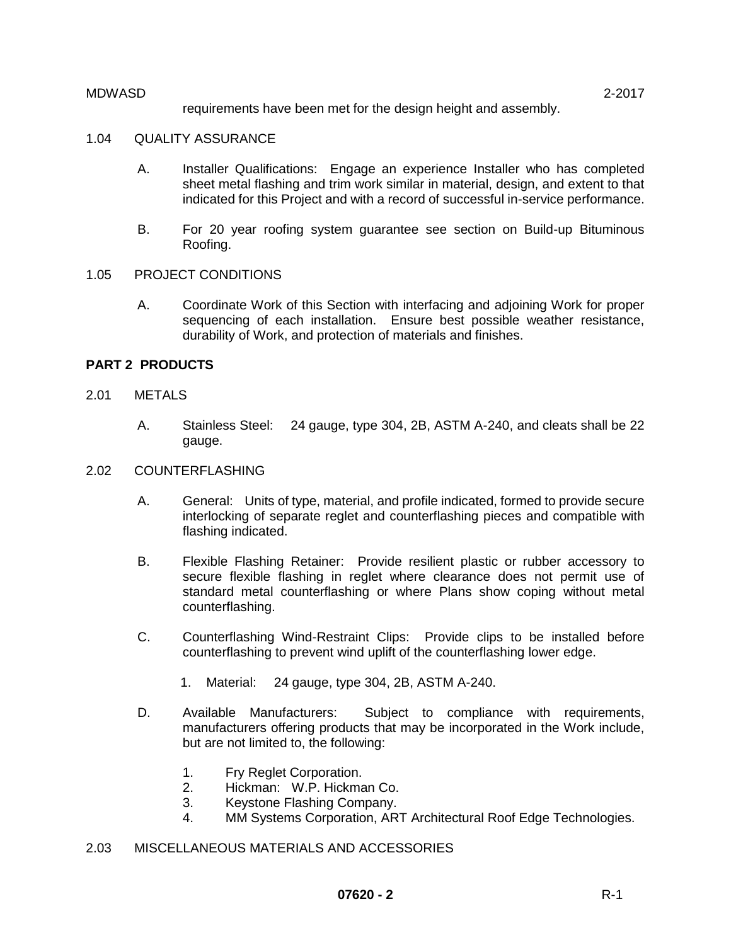requirements have been met for the design height and assembly.

## 1.04 QUALITY ASSURANCE

- A. Installer Qualifications: Engage an experience Installer who has completed sheet metal flashing and trim work similar in material, design, and extent to that indicated for this Project and with a record of successful in-service performance.
- B. For 20 year roofing system guarantee see section on Build-up Bituminous Roofing.

#### 1.05 PROJECT CONDITIONS

A. Coordinate Work of this Section with interfacing and adjoining Work for proper sequencing of each installation. Ensure best possible weather resistance, durability of Work, and protection of materials and finishes.

#### **PART 2 PRODUCTS**

- 2.01 METALS
	- A. Stainless Steel: 24 gauge, type 304, 2B, ASTM A-240, and cleats shall be 22 gauge.
- 2.02 COUNTERFLASHING
	- A. General: Units of type, material, and profile indicated, formed to provide secure interlocking of separate reglet and counterflashing pieces and compatible with flashing indicated.
	- B. Flexible Flashing Retainer: Provide resilient plastic or rubber accessory to secure flexible flashing in reglet where clearance does not permit use of standard metal counterflashing or where Plans show coping without metal counterflashing.
	- C. Counterflashing Wind-Restraint Clips: Provide clips to be installed before counterflashing to prevent wind uplift of the counterflashing lower edge.
		- 1. Material: 24 gauge, type 304, 2B, ASTM A-240.
	- D. Available Manufacturers: Subject to compliance with requirements, manufacturers offering products that may be incorporated in the Work include, but are not limited to, the following:
		- 1. Fry Reglet Corporation.
		- 2. Hickman: W.P. Hickman Co.
		- 3. Keystone Flashing Company.
		- 4. MM Systems Corporation, ART Architectural Roof Edge Technologies.

## 2.03 MISCELLANEOUS MATERIALS AND ACCESSORIES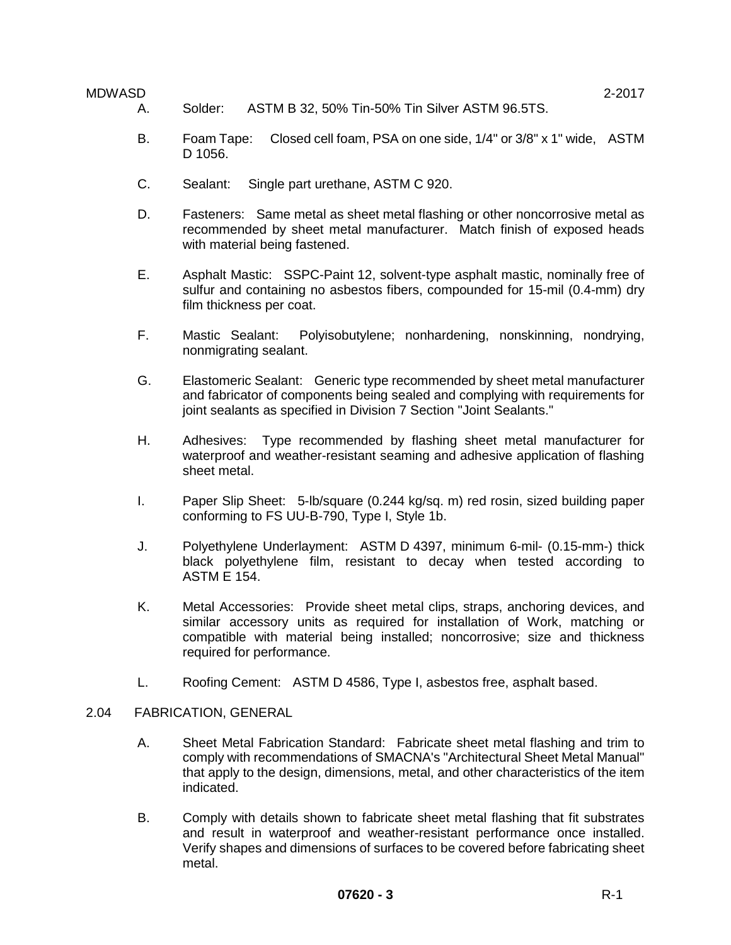- A. Solder: ASTM B 32, 50% Tin-50% Tin Silver ASTM 96.5TS.
- B. Foam Tape: Closed cell foam, PSA on one side, 1/4" or 3/8" x 1" wide, ASTM D 1056.
- C. Sealant: Single part urethane, ASTM C 920.
- D. Fasteners: Same metal as sheet metal flashing or other noncorrosive metal as recommended by sheet metal manufacturer. Match finish of exposed heads with material being fastened.
- E. Asphalt Mastic: SSPC-Paint 12, solvent-type asphalt mastic, nominally free of sulfur and containing no asbestos fibers, compounded for 15-mil (0.4-mm) dry film thickness per coat.
- F. Mastic Sealant: Polyisobutylene; nonhardening, nonskinning, nondrying, nonmigrating sealant.
- G. Elastomeric Sealant: Generic type recommended by sheet metal manufacturer and fabricator of components being sealed and complying with requirements for joint sealants as specified in Division 7 Section "Joint Sealants."
- H. Adhesives: Type recommended by flashing sheet metal manufacturer for waterproof and weather-resistant seaming and adhesive application of flashing sheet metal.
- I. Paper Slip Sheet: 5-lb/square (0.244 kg/sq. m) red rosin, sized building paper conforming to FS UU-B-790, Type I, Style 1b.
- J. Polyethylene Underlayment: ASTM D 4397, minimum 6-mil- (0.15-mm-) thick black polyethylene film, resistant to decay when tested according to ASTM E 154.
- K. Metal Accessories: Provide sheet metal clips, straps, anchoring devices, and similar accessory units as required for installation of Work, matching or compatible with material being installed; noncorrosive; size and thickness required for performance.
- L. Roofing Cement: ASTM D 4586, Type I, asbestos free, asphalt based.

#### 2.04 FABRICATION, GENERAL

- A. Sheet Metal Fabrication Standard: Fabricate sheet metal flashing and trim to comply with recommendations of SMACNA's "Architectural Sheet Metal Manual" that apply to the design, dimensions, metal, and other characteristics of the item indicated.
- B. Comply with details shown to fabricate sheet metal flashing that fit substrates and result in waterproof and weather-resistant performance once installed. Verify shapes and dimensions of surfaces to be covered before fabricating sheet metal.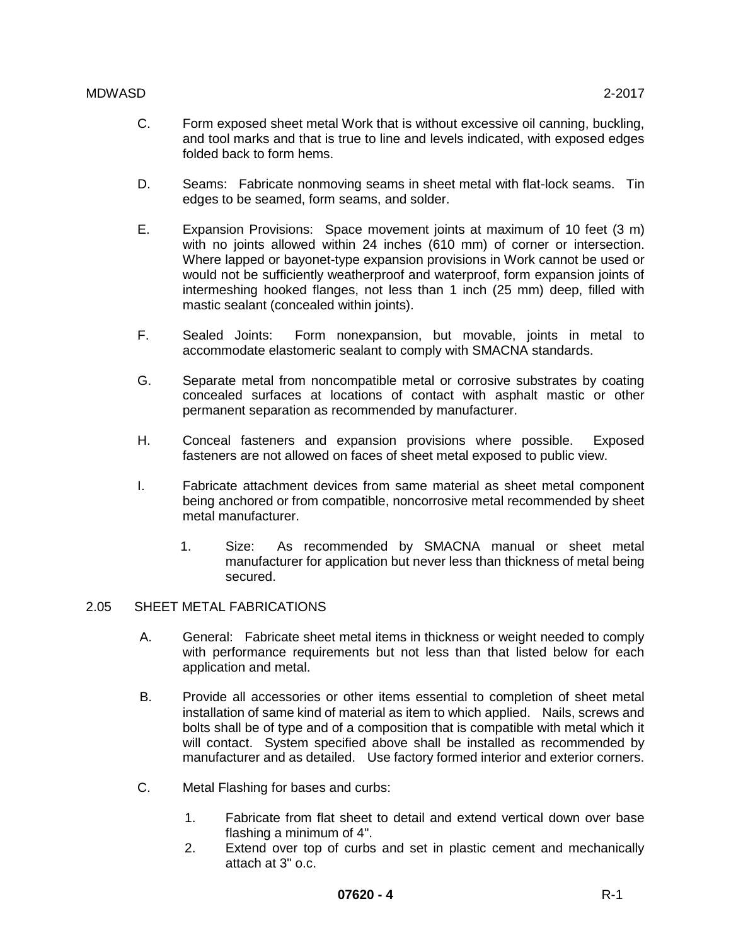- C. Form exposed sheet metal Work that is without excessive oil canning, buckling, and tool marks and that is true to line and levels indicated, with exposed edges folded back to form hems.
- D. Seams: Fabricate nonmoving seams in sheet metal with flat-lock seams. Tin edges to be seamed, form seams, and solder.
- E. Expansion Provisions: Space movement joints at maximum of 10 feet (3 m) with no joints allowed within 24 inches (610 mm) of corner or intersection. Where lapped or bayonet-type expansion provisions in Work cannot be used or would not be sufficiently weatherproof and waterproof, form expansion joints of intermeshing hooked flanges, not less than 1 inch (25 mm) deep, filled with mastic sealant (concealed within joints).
- F. Sealed Joints: Form nonexpansion, but movable, joints in metal to accommodate elastomeric sealant to comply with SMACNA standards.
- G. Separate metal from noncompatible metal or corrosive substrates by coating concealed surfaces at locations of contact with asphalt mastic or other permanent separation as recommended by manufacturer.
- H. Conceal fasteners and expansion provisions where possible. Exposed fasteners are not allowed on faces of sheet metal exposed to public view.
- I. Fabricate attachment devices from same material as sheet metal component being anchored or from compatible, noncorrosive metal recommended by sheet metal manufacturer.
	- 1. Size: As recommended by SMACNA manual or sheet metal manufacturer for application but never less than thickness of metal being secured.

## 2.05 SHEET METAL FABRICATIONS

- A. General: Fabricate sheet metal items in thickness or weight needed to comply with performance requirements but not less than that listed below for each application and metal.
- B. Provide all accessories or other items essential to completion of sheet metal installation of same kind of material as item to which applied. Nails, screws and bolts shall be of type and of a composition that is compatible with metal which it will contact. System specified above shall be installed as recommended by manufacturer and as detailed. Use factory formed interior and exterior corners.
- C. Metal Flashing for bases and curbs:
	- 1. Fabricate from flat sheet to detail and extend vertical down over base flashing a minimum of 4".
	- 2. Extend over top of curbs and set in plastic cement and mechanically attach at 3" o.c.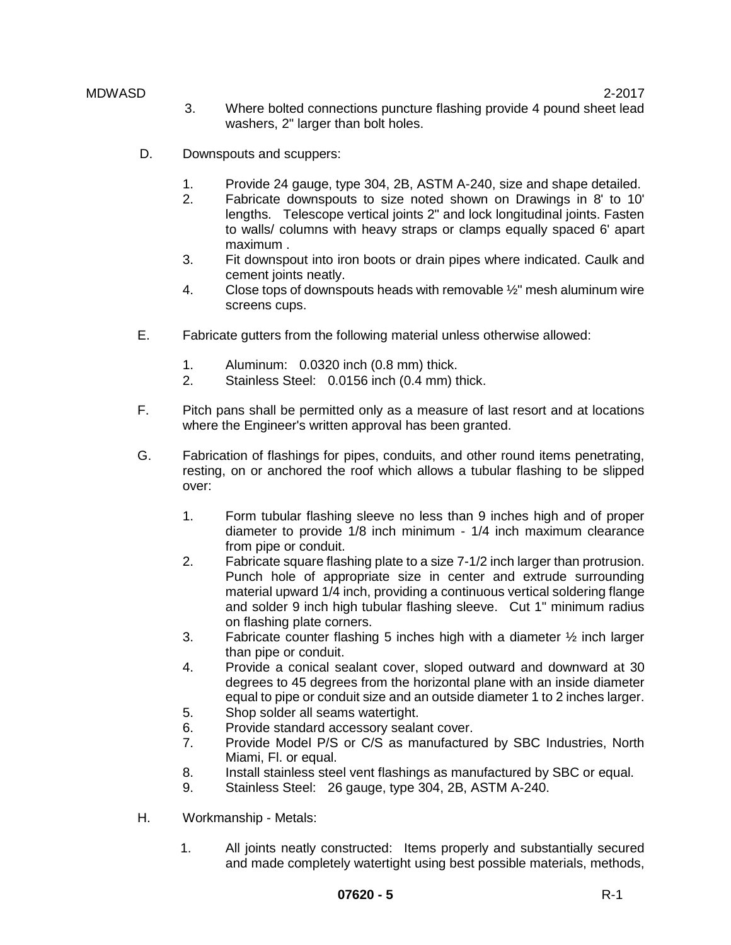- MDWASD 2-2017 3. Where bolted connections puncture flashing provide 4 pound sheet lead washers, 2" larger than bolt holes.
	- D. Downspouts and scuppers:
		- 1. Provide 24 gauge, type 304, 2B, ASTM A-240, size and shape detailed.
		- 2. Fabricate downspouts to size noted shown on Drawings in 8' to 10' lengths. Telescope vertical joints 2" and lock longitudinal joints. Fasten to walls/ columns with heavy straps or clamps equally spaced 6' apart maximum .
		- 3. Fit downspout into iron boots or drain pipes where indicated. Caulk and cement joints neatly.
		- 4. Close tops of downspouts heads with removable  $\frac{1}{2}$ " mesh aluminum wire screens cups.
	- E. Fabricate gutters from the following material unless otherwise allowed:
		- 1. Aluminum: 0.0320 inch (0.8 mm) thick.
		- 2. Stainless Steel: 0.0156 inch (0.4 mm) thick.
	- F. Pitch pans shall be permitted only as a measure of last resort and at locations where the Engineer's written approval has been granted.
	- G. Fabrication of flashings for pipes, conduits, and other round items penetrating, resting, on or anchored the roof which allows a tubular flashing to be slipped over:
		- 1. Form tubular flashing sleeve no less than 9 inches high and of proper diameter to provide 1/8 inch minimum - 1/4 inch maximum clearance from pipe or conduit.
		- 2. Fabricate square flashing plate to a size 7-1/2 inch larger than protrusion. Punch hole of appropriate size in center and extrude surrounding material upward 1/4 inch, providing a continuous vertical soldering flange and solder 9 inch high tubular flashing sleeve. Cut 1" minimum radius on flashing plate corners.
		- 3. Fabricate counter flashing 5 inches high with a diameter ½ inch larger than pipe or conduit.
		- 4. Provide a conical sealant cover, sloped outward and downward at 30 degrees to 45 degrees from the horizontal plane with an inside diameter equal to pipe or conduit size and an outside diameter 1 to 2 inches larger.
		- 5. Shop solder all seams watertight.
		- 6. Provide standard accessory sealant cover.
		- 7. Provide Model P/S or C/S as manufactured by SBC Industries, North Miami, Fl. or equal.
		- 8. Install stainless steel vent flashings as manufactured by SBC or equal.
		- 9. Stainless Steel: 26 gauge, type 304, 2B, ASTM A-240.
	- H. Workmanship Metals:
		- 1. All joints neatly constructed: Items properly and substantially secured and made completely watertight using best possible materials, methods,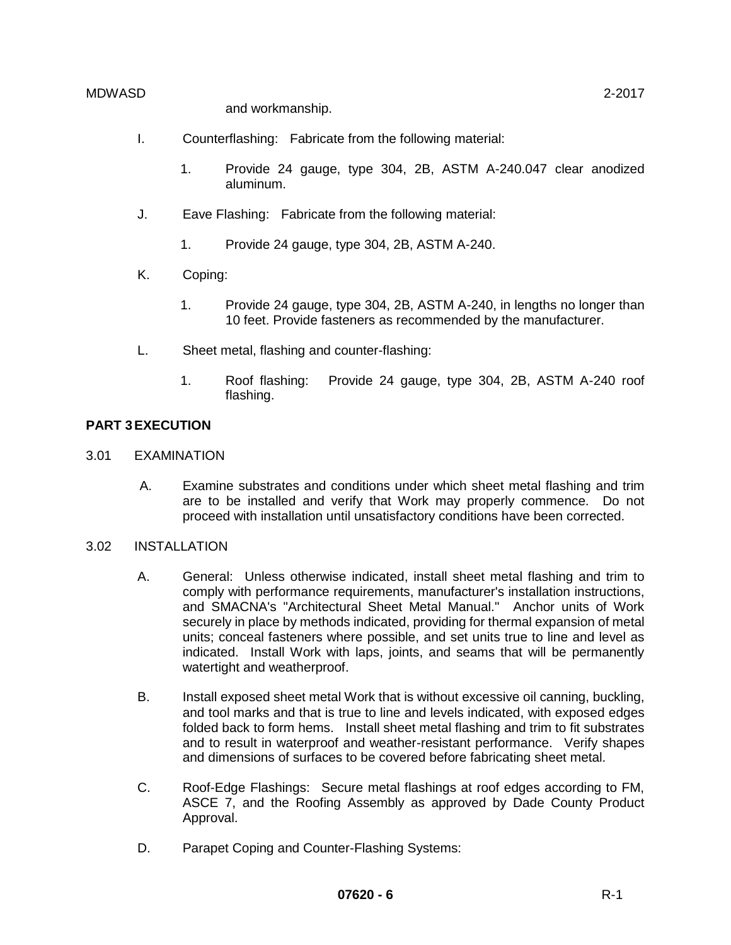and workmanship.

- I. Counterflashing: Fabricate from the following material:
	- 1. Provide 24 gauge, type 304, 2B, ASTM A-240.047 clear anodized aluminum.
- J. Eave Flashing: Fabricate from the following material:
	- 1. Provide 24 gauge, type 304, 2B, ASTM A-240.
- K. Coping:
	- 1. Provide 24 gauge, type 304, 2B, ASTM A-240, in lengths no longer than 10 feet. Provide fasteners as recommended by the manufacturer.
- L. Sheet metal, flashing and counter-flashing:
	- 1. Roof flashing: Provide 24 gauge, type 304, 2B, ASTM A-240 roof flashing.

## **PART 3EXECUTION**

- 3.01 EXAMINATION
	- A. Examine substrates and conditions under which sheet metal flashing and trim are to be installed and verify that Work may properly commence. Do not proceed with installation until unsatisfactory conditions have been corrected.

## 3.02 INSTALLATION

- A. General: Unless otherwise indicated, install sheet metal flashing and trim to comply with performance requirements, manufacturer's installation instructions, and SMACNA's "Architectural Sheet Metal Manual." Anchor units of Work securely in place by methods indicated, providing for thermal expansion of metal units; conceal fasteners where possible, and set units true to line and level as indicated. Install Work with laps, joints, and seams that will be permanently watertight and weatherproof.
- B. Install exposed sheet metal Work that is without excessive oil canning, buckling, and tool marks and that is true to line and levels indicated, with exposed edges folded back to form hems. Install sheet metal flashing and trim to fit substrates and to result in waterproof and weather-resistant performance. Verify shapes and dimensions of surfaces to be covered before fabricating sheet metal.
- C. Roof-Edge Flashings: Secure metal flashings at roof edges according to FM, ASCE 7, and the Roofing Assembly as approved by Dade County Product Approval.
- D. Parapet Coping and Counter-Flashing Systems: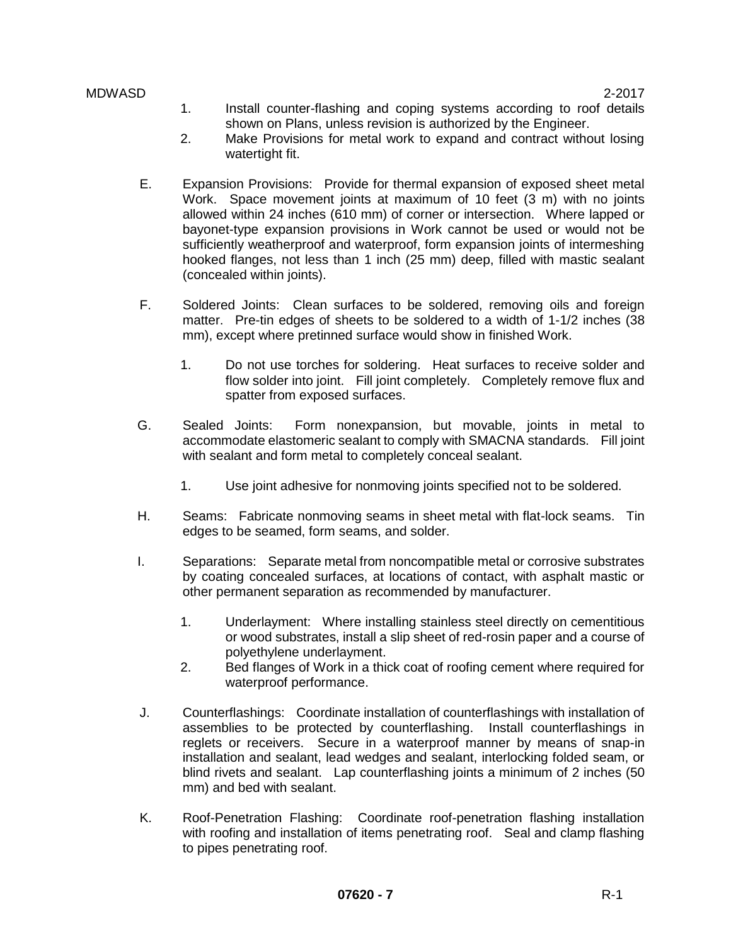- 1. Install counter-flashing and coping systems according to roof details shown on Plans, unless revision is authorized by the Engineer.
- 2. Make Provisions for metal work to expand and contract without losing watertight fit.
- E. Expansion Provisions: Provide for thermal expansion of exposed sheet metal Work. Space movement joints at maximum of 10 feet (3 m) with no joints allowed within 24 inches (610 mm) of corner or intersection. Where lapped or bayonet-type expansion provisions in Work cannot be used or would not be sufficiently weatherproof and waterproof, form expansion joints of intermeshing hooked flanges, not less than 1 inch (25 mm) deep, filled with mastic sealant (concealed within joints).
- F. Soldered Joints: Clean surfaces to be soldered, removing oils and foreign matter. Pre-tin edges of sheets to be soldered to a width of 1-1/2 inches (38 mm), except where pretinned surface would show in finished Work.
	- 1. Do not use torches for soldering. Heat surfaces to receive solder and flow solder into joint. Fill joint completely. Completely remove flux and spatter from exposed surfaces.
- G. Sealed Joints: Form nonexpansion, but movable, joints in metal to accommodate elastomeric sealant to comply with SMACNA standards. Fill joint with sealant and form metal to completely conceal sealant.
	- 1. Use joint adhesive for nonmoving joints specified not to be soldered.
- H. Seams: Fabricate nonmoving seams in sheet metal with flat-lock seams. Tin edges to be seamed, form seams, and solder.
- I. Separations: Separate metal from noncompatible metal or corrosive substrates by coating concealed surfaces, at locations of contact, with asphalt mastic or other permanent separation as recommended by manufacturer.
	- 1. Underlayment: Where installing stainless steel directly on cementitious or wood substrates, install a slip sheet of red-rosin paper and a course of polyethylene underlayment.
	- 2. Bed flanges of Work in a thick coat of roofing cement where required for waterproof performance.
- J. Counterflashings: Coordinate installation of counterflashings with installation of assemblies to be protected by counterflashing. Install counterflashings in reglets or receivers. Secure in a waterproof manner by means of snap-in installation and sealant, lead wedges and sealant, interlocking folded seam, or blind rivets and sealant. Lap counterflashing joints a minimum of 2 inches (50 mm) and bed with sealant.
- K. Roof-Penetration Flashing: Coordinate roof-penetration flashing installation with roofing and installation of items penetrating roof. Seal and clamp flashing to pipes penetrating roof.